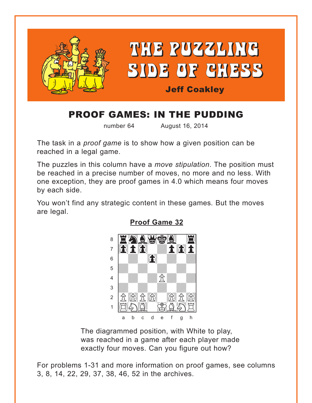<span id="page-0-0"></span>

# PROOF GAMES: IN THE PUDDING

number 64 August 16, 2014

The task in a *proof game* is to show how a given position can be reached in a legal game.

The puzzles in this column have a *move stipulation*. The position must be reached in a precise number of moves, no more and no less. With one exception, they are proof games in 4.0 which means four moves by each side.

You won't find any strategic content in these games*.* But the moves are legal.



**[Proof Game 32](#page-4-0)**

The diagrammed position, with White to play, was reached in a game after each player made exactly four moves. Can you figure out how?

For problems 1-31 and more information on proof games, see columns 3, 8, 14, 22, 29, 37, 38, 46, 52 in the archives.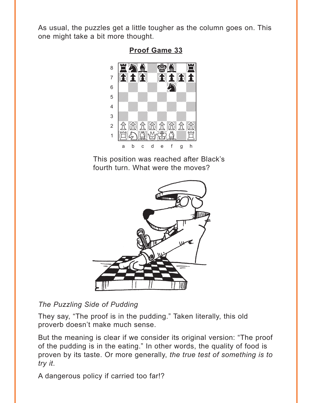<span id="page-1-0"></span>As usual, the puzzles get a little tougher as the column goes on. This one might take a bit more thought.



**[Proof Game 33](#page-4-0)**

This position was reached after Black's fourth turn. What were the moves?



*The Puzzling Side of Pudding*

They say, "The proof is in the pudding." Taken literally, this old proverb doesn't make much sense.

But the meaning is clear if we consider its original version: "The proof of the pudding is in the eating." In other words, the quality of food is proven by its taste. Or more generally, *the true test of something is to try it*.

A dangerous policy if carried too far!?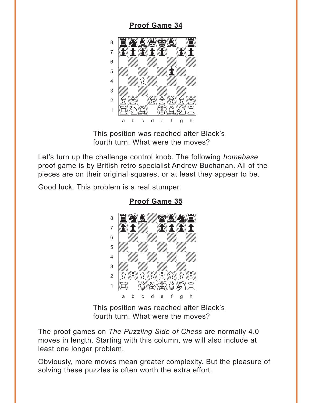#### **[Proof Game 34](#page-5-0)**

<span id="page-2-0"></span>

This position was reached after Black's fourth turn. What were the moves?

Let's turn up the challenge control knob. The following *homebase* proof game is by British retro specialist Andrew Buchanan. All of the pieces are on their original squares, or at least they appear to be.

Good luck. This problem is a real stumper.



**[Proof Game 35](#page-5-0)**

This position was reached after Black's fourth turn. What were the moves?

The proof games on *The Puzzling Side of Chess* are normally 4.0 moves in length. Starting with this column, we will also include at least one longer problem.

Obviously, more moves mean greater complexity. But the pleasure of solving these puzzles is often worth the extra effort.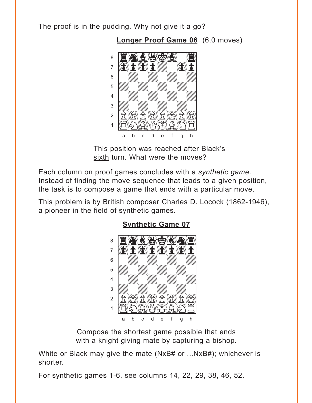<span id="page-3-0"></span>The proof is in the pudding. Why not give it a go?

**[Longer Proof Game 06](#page-6-0)** (6.0 moves)



This position was reached after Black's sixth turn. What were the moves?

Each column on proof games concludes with a *synthetic game*. Instead of finding the move sequence that leads to a given position, the task is to compose a game that ends with a particular move.

This problem is by British composer Charles D. Locock (1862-1946), a pioneer in the field of synthetic games.



**[Synthetic Game 07](#page-7-0)**

Compose the shortest game possible that ends with a knight giving mate by capturing a bishop.

White or Black may give the mate (NxB# or ...NxB#); whichever is shorter.

For synthetic games 1-6, see columns 14, 22, 29, 38, 46, 52.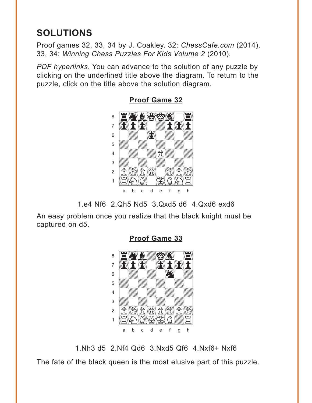## <span id="page-4-0"></span>**SOLUTIONS**

Proof games 32, 33, 34 by J. Coakley. 32: *ChessCafe.com* (2014). 33, 34: *Winning Chess Puzzles For Kids Volume 2* (2010).

*PDF hyperlinks*. You can advance to the solution of any puzzle by clicking on the underlined title above the diagram. To return to the puzzle, click on the title above the solution diagram.



**[Proof Game 32](#page-0-0)**

1.e4 Nf6 2.Qh5 Nd5 3.Qxd5 d6 4.Qxd6 exd6

An easy problem once you realize that the black knight must be captured on d5.





1.Nh3 d5 2.Nf4 Qd6 3.Nxd5 Qf6 4.Nxf6+ Nxf6

The fate of the black queen is the most elusive part of this puzzle.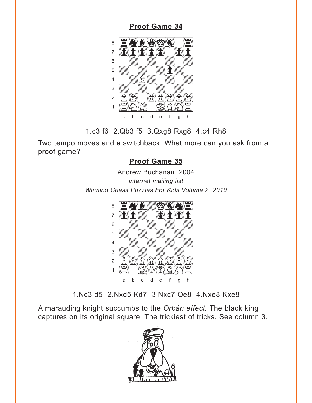## <span id="page-5-0"></span>where the contract of the contract of  $\mathcal{L}_\text{max}$  $8$   $\blacksquare$   $\blacksquare$   $\blacksquare$   $\blacksquare$   $\blacksquare$   $\blacksquare$   $\blacksquare$   $\blacksquare$   $\blacksquare$   $\blacksquare$   $\blacksquare$   $\blacksquare$   $\blacksquare$   $\blacksquare$   $\blacksquare$   $\blacksquare$   $\blacksquare$   $\blacksquare$   $\blacksquare$   $\blacksquare$   $\blacksquare$   $\blacksquare$   $\blacksquare$   $\blacksquare$   $\blacksquare$   $\blacksquare$   $\blacksquare$   $\blacksquare$   $\blacksquare$   $\blacksquare$   $\blacksquare$  <sup>7</sup> and the and the state of the state of the state of the state of the state of the state of the state of the state of the state of the state of the state of the state of the state of the state of the state of the state o 6 | *William William William William William William William William William William William William William William*  $\mathbf{F} = \mathbf{F} \mathbf{F} \mathbf{F} \mathbf{F} \mathbf{F} \mathbf{F} \mathbf{F} \mathbf{F} \mathbf{F} \mathbf{F} \mathbf{F} \mathbf{F} \mathbf{F} \mathbf{F} \mathbf{F} \mathbf{F} \mathbf{F} \mathbf{F} \mathbf{F} \mathbf{F} \mathbf{F} \mathbf{F} \mathbf{F} \mathbf{F} \mathbf{F} \mathbf{F} \mathbf{F} \mathbf{F} \mathbf{F} \mathbf{F} \mathbf{F} \mathbf{F} \mathbf{F} \mathbf{F} \mathbf{F} \mathbf$  $4$  $\frac{1}{\sqrt{2}}$ 2 K) K R R R  $\left| \begin{matrix} 1 & \mathbf{1} & \mathbf{1} & \mathbf{1} & \mathbf{1} & \mathbf{1} & \mathbf{1} & \mathbf{1} & \mathbf{1} & \mathbf{1} & \mathbf{1} & \mathbf{1} & \mathbf{1} & \mathbf{1} & \mathbf{1} & \mathbf{1} & \mathbf{1} & \mathbf{1} & \mathbf{1} & \mathbf{1} & \mathbf{1} & \mathbf{1} & \mathbf{1} & \mathbf{1} & \mathbf{1} & \mathbf{1} & \mathbf{1} & \mathbf{1} & \mathbf{1} & \mathbf{1} & \mathbf{1}$ a b c d e f g h

**[Proof Game 34](#page-2-0)**

1.c3 f6 2.Qb3 f5 3.Qxg8 Rxg8 4.c4 Rh8

Two tempo moves and a switchback. What more can you ask from a proof game?

## **[Proof Game 35](#page-2-0)**

Andrew Buchanan 2004 *internet mailing list Winning Chess Puzzles For Kids Volume 2 2010*



1.Nc3 d5 2.Nxd5 Kd7 3.Nxc7 Qe8 4.Nxe8 Kxe8

A marauding knight succumbs to the *Orbán effect.* The black king captures on its original square. The trickiest of tricks. See column 3.

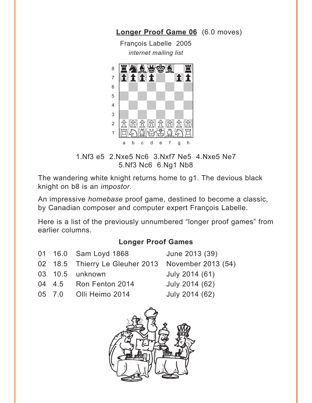<span id="page-6-0"></span>**[Longer Proof Game 06](#page-3-0)** (6.0 moves)

François Labelle 2005 *internet mailing list*



1.Nf3 e5 2.Nxe5 Nc6 3.Nxf7 Ne5 4.Nxe5 Ne7 5.Nf3 Nc6 6.Ng1 Nb8

The wandering white knight returns home to g1. The devious black knight on b8 is an *impostor*.

An impressive *homebase* proof game, destined to become a classic, by Canadian composer and computer expert François Labelle.

Here is a list of the previously unnumbered "longer proof games" from earlier columns.

#### **Longer Proof Games**

|  | 01 16.0 Sam Loyd 1868                              | June 2013 (39) |
|--|----------------------------------------------------|----------------|
|  | 02 18.5 Thierry Le Gleuher 2013 November 2013 (54) |                |
|  | 03  10.5  unknown                                  | July 2014 (61) |
|  | 04 4.5 Ron Fenton 2014                             | July 2014 (62) |
|  | 05 7.0 Olli Heimo 2014                             | July 2014 (62) |
|  |                                                    |                |